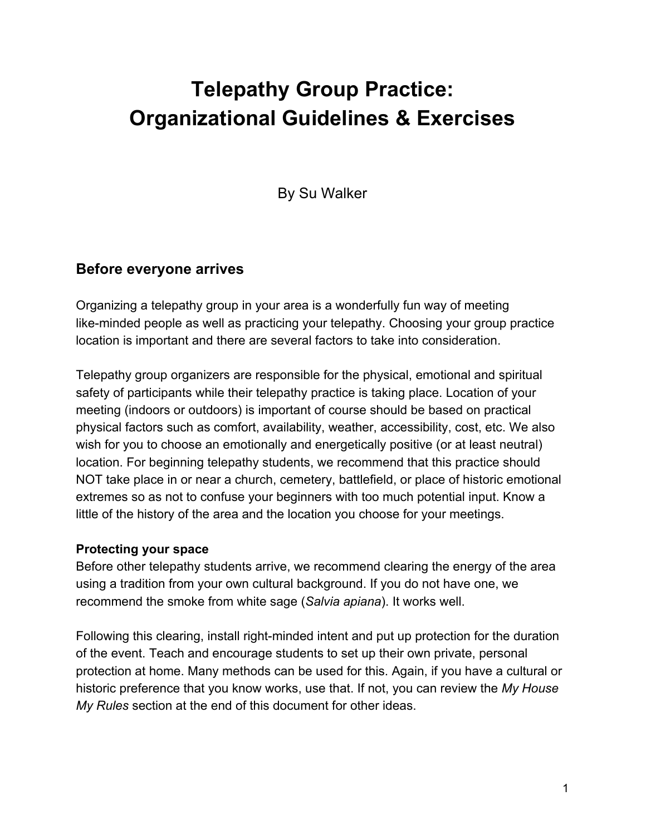# **Telepathy Group Practice: Organizational Guidelines & Exercises**

By Su Walker

# **Before everyone arrives**

Organizing a telepathy group in your area is a wonderfully fun way of meeting like-minded people as well as practicing your telepathy. Choosing your group practice location is important and there are several factors to take into consideration.

Telepathy group organizers are responsible for the physical, emotional and spiritual safety of participants while their telepathy practice is taking place. Location of your meeting (indoors or outdoors) is important of course should be based on practical physical factors such as comfort, availability, weather, accessibility, cost, etc. We also wish for you to choose an emotionally and energetically positive (or at least neutral) location. For beginning telepathy students, we recommend that this practice should NOT take place in or near a church, cemetery, battlefield, or place of historic emotional extremes so as not to confuse your beginners with too much potential input. Know a little of the history of the area and the location you choose for your meetings.

#### **Protecting your space**

Before other telepathy students arrive, we recommend clearing the energy of the area using a tradition from your own cultural background. If you do not have one, we recommend the smoke from white sage (*Salvia apiana*). It works well.

Following this clearing, install right-minded intent and put up protection for the duration of the event. Teach and encourage students to set up their own private, personal protection at home. Many methods can be used for this. Again, if you have a cultural or historic preference that you know works, use that. If not, you can review the *My House My Rules* section at the end of this document for other ideas.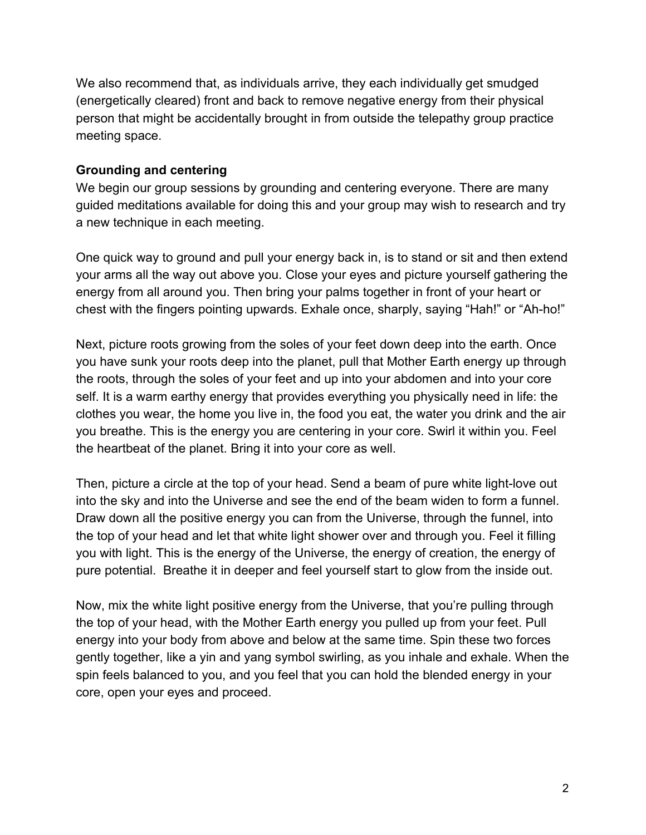We also recommend that, as individuals arrive, they each individually get smudged (energetically cleared) front and back to remove negative energy from their physical person that might be accidentally brought in from outside the telepathy group practice meeting space.

### **Grounding and centering**

We begin our group sessions by grounding and centering everyone. There are many guided meditations available for doing this and your group may wish to research and try a new technique in each meeting.

One quick way to ground and pull your energy back in, is to stand or sit and then extend your arms all the way out above you. Close your eyes and picture yourself gathering the energy from all around you. Then bring your palms together in front of your heart or chest with the fingers pointing upwards. Exhale once, sharply, saying "Hah!" or "Ah-ho!"

Next, picture roots growing from the soles of your feet down deep into the earth. Once you have sunk your roots deep into the planet, pull that Mother Earth energy up through the roots, through the soles of your feet and up into your abdomen and into your core self. It is a warm earthy energy that provides everything you physically need in life: the clothes you wear, the home you live in, the food you eat, the water you drink and the air you breathe. This is the energy you are centering in your core. Swirl it within you. Feel the heartbeat of the planet. Bring it into your core as well.

Then, picture a circle at the top of your head. Send a beam of pure white light-love out into the sky and into the Universe and see the end of the beam widen to form a funnel. Draw down all the positive energy you can from the Universe, through the funnel, into the top of your head and let that white light shower over and through you. Feel it filling you with light. This is the energy of the Universe, the energy of creation, the energy of pure potential. Breathe it in deeper and feel yourself start to glow from the inside out.

Now, mix the white light positive energy from the Universe, that you're pulling through the top of your head, with the Mother Earth energy you pulled up from your feet. Pull energy into your body from above and below at the same time. Spin these two forces gently together, like a yin and yang symbol swirling, as you inhale and exhale. When the spin feels balanced to you, and you feel that you can hold the blended energy in your core, open your eyes and proceed.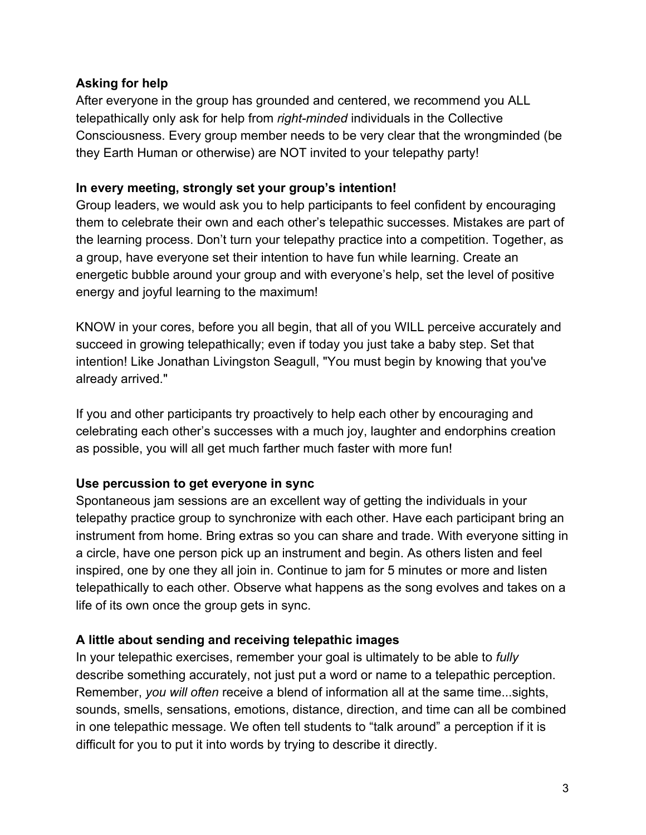### **Asking for help**

After everyone in the group has grounded and centered, we recommend you ALL telepathically only ask for help from *right-minded* individuals in the Collective Consciousness. Every group member needs to be very clear that the wrongminded (be they Earth Human or otherwise) are NOT invited to your telepathy party!

#### **In every meeting, strongly set your group's intention!**

Group leaders, we would ask you to help participants to feel confident by encouraging them to celebrate their own and each other's telepathic successes. Mistakes are part of the learning process. Don't turn your telepathy practice into a competition. Together, as a group, have everyone set their intention to have fun while learning. Create an energetic bubble around your group and with everyone's help, set the level of positive energy and joyful learning to the maximum!

KNOW in your cores, before you all begin, that all of you WILL perceive accurately and succeed in growing telepathically; even if today you just take a baby step. Set that intention! Like Jonathan Livingston Seagull, "You must begin by knowing that you've already arrived."

If you and other participants try proactively to help each other by encouraging and celebrating each other's successes with a much joy, laughter and endorphins creation as possible, you will all get much farther much faster with more fun!

# **Use percussion to get everyone in sync**

Spontaneous jam sessions are an excellent way of getting the individuals in your telepathy practice group to synchronize with each other. Have each participant bring an instrument from home. Bring extras so you can share and trade. With everyone sitting in a circle, have one person pick up an instrument and begin. As others listen and feel inspired, one by one they all join in. Continue to jam for 5 minutes or more and listen telepathically to each other. Observe what happens as the song evolves and takes on a life of its own once the group gets in sync.

# **A little about sending and receiving telepathic images**

In your telepathic exercises, remember your goal is ultimately to be able to *fully* describe something accurately, not just put a word or name to a telepathic perception. Remember, *you will often* receive a blend of information all at the same time...sights, sounds, smells, sensations, emotions, distance, direction, and time can all be combined in one telepathic message. We often tell students to "talk around" a perception if it is difficult for you to put it into words by trying to describe it directly.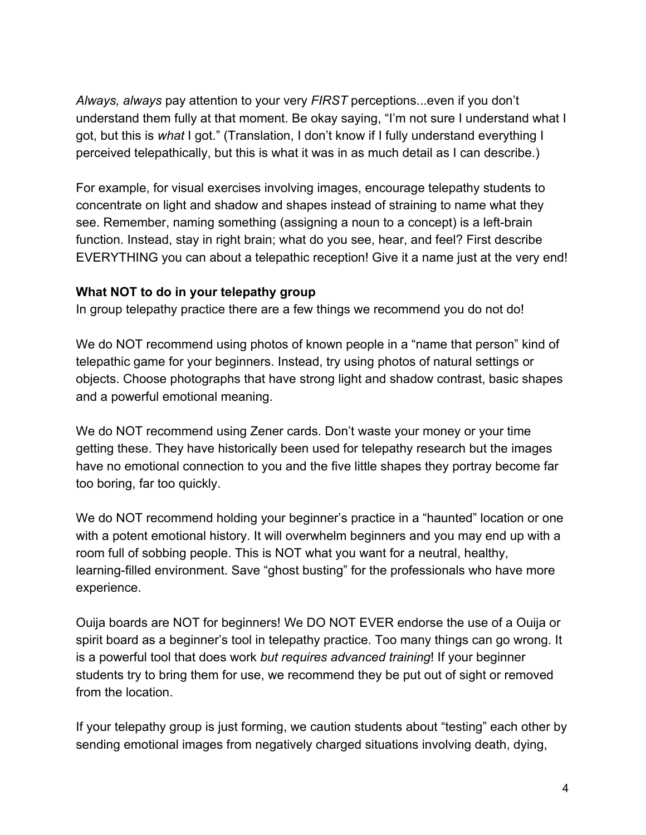*Always, always* pay attention to your very *FIRST* perceptions...even if you don't understand them fully at that moment. Be okay saying, "I'm not sure I understand what I got, but this is *what* I got." (Translation, I don't know if I fully understand everything I perceived telepathically, but this is what it was in as much detail as I can describe.)

For example, for visual exercises involving images, encourage telepathy students to concentrate on light and shadow and shapes instead of straining to name what they see. Remember, naming something (assigning a noun to a concept) is a left-brain function. Instead, stay in right brain; what do you see, hear, and feel? First describe EVERYTHING you can about a telepathic reception! Give it a name just at the very end!

#### **What NOT to do in your telepathy group**

In group telepathy practice there are a few things we recommend you do not do!

We do NOT recommend using photos of known people in a "name that person" kind of telepathic game for your beginners. Instead, try using photos of natural settings or objects. Choose photographs that have strong light and shadow contrast, basic shapes and a powerful emotional meaning.

We do NOT recommend using Zener cards. Don't waste your money or your time getting these. They have historically been used for telepathy research but the images have no emotional connection to you and the five little shapes they portray become far too boring, far too quickly.

We do NOT recommend holding your beginner's practice in a "haunted" location or one with a potent emotional history. It will overwhelm beginners and you may end up with a room full of sobbing people. This is NOT what you want for a neutral, healthy, learning-filled environment. Save "ghost busting" for the professionals who have more experience.

Ouija boards are NOT for beginners! We DO NOT EVER endorse the use of a Ouija or spirit board as a beginner's tool in telepathy practice. Too many things can go wrong. It is a powerful tool that does work *but requires advanced training*! If your beginner students try to bring them for use, we recommend they be put out of sight or removed from the location.

If your telepathy group is just forming, we caution students about "testing" each other by sending emotional images from negatively charged situations involving death, dying,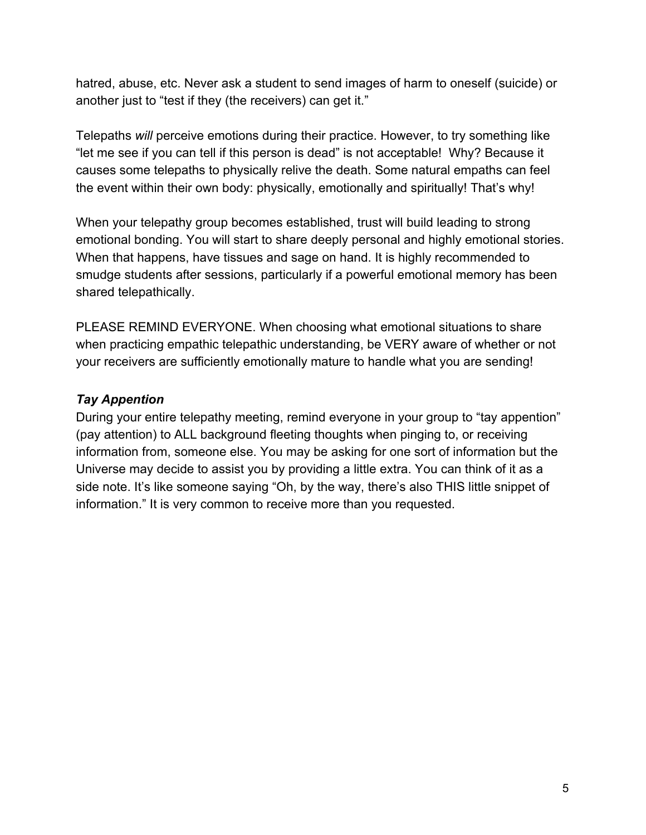hatred, abuse, etc. Never ask a student to send images of harm to oneself (suicide) or another just to "test if they (the receivers) can get it."

Telepaths *will* perceive emotions during their practice. However, to try something like "let me see if you can tell if this person is dead" is not acceptable! Why? Because it causes some telepaths to physically relive the death. Some natural empaths can feel the event within their own body: physically, emotionally and spiritually! That's why!

When your telepathy group becomes established, trust will build leading to strong emotional bonding. You will start to share deeply personal and highly emotional stories. When that happens, have tissues and sage on hand. It is highly recommended to smudge students after sessions, particularly if a powerful emotional memory has been shared telepathically.

PLEASE REMIND EVERYONE. When choosing what emotional situations to share when practicing empathic telepathic understanding, be VERY aware of whether or not your receivers are sufficiently emotionally mature to handle what you are sending!

#### *Tay Appention*

During your entire telepathy meeting, remind everyone in your group to "tay appention" (pay attention) to ALL background fleeting thoughts when pinging to, or receiving information from, someone else. You may be asking for one sort of information but the Universe may decide to assist you by providing a little extra. You can think of it as a side note. It's like someone saying "Oh, by the way, there's also THIS little snippet of information." It is very common to receive more than you requested.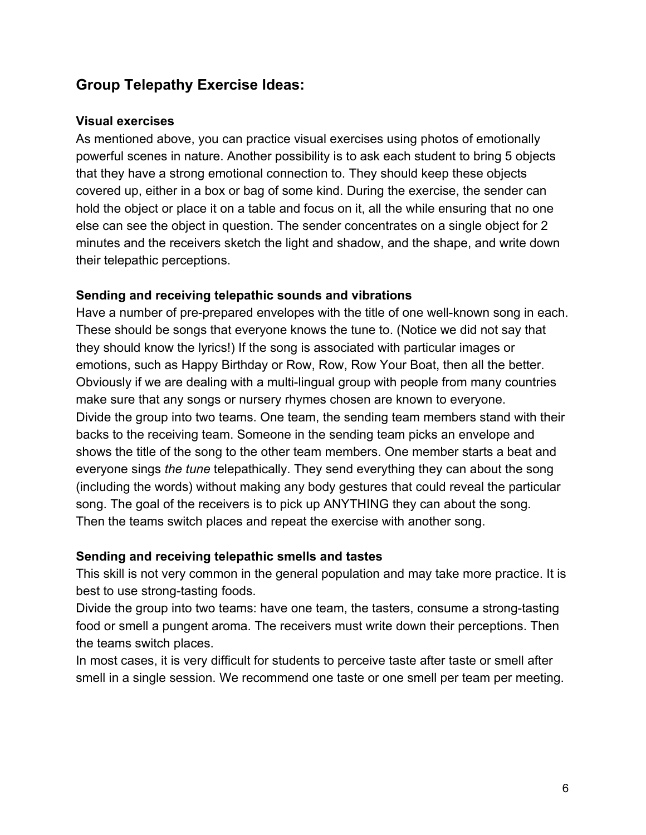# **Group Telepathy Exercise Ideas:**

#### **Visual exercises**

As mentioned above, you can practice visual exercises using photos of emotionally powerful scenes in nature. Another possibility is to ask each student to bring 5 objects that they have a strong emotional connection to. They should keep these objects covered up, either in a box or bag of some kind. During the exercise, the sender can hold the object or place it on a table and focus on it, all the while ensuring that no one else can see the object in question. The sender concentrates on a single object for 2 minutes and the receivers sketch the light and shadow, and the shape, and write down their telepathic perceptions.

#### **Sending and receiving telepathic sounds and vibrations**

Have a number of pre-prepared envelopes with the title of one well-known song in each. These should be songs that everyone knows the tune to. (Notice we did not say that they should know the lyrics!) If the song is associated with particular images or emotions, such as Happy Birthday or Row, Row, Row Your Boat, then all the better. Obviously if we are dealing with a multi-lingual group with people from many countries make sure that any songs or nursery rhymes chosen are known to everyone. Divide the group into two teams. One team, the sending team members stand with their backs to the receiving team. Someone in the sending team picks an envelope and shows the title of the song to the other team members. One member starts a beat and everyone sings *the tune* telepathically. They send everything they can about the song (including the words) without making any body gestures that could reveal the particular song. The goal of the receivers is to pick up ANYTHING they can about the song. Then the teams switch places and repeat the exercise with another song.

#### **Sending and receiving telepathic smells and tastes**

This skill is not very common in the general population and may take more practice. It is best to use strong-tasting foods.

Divide the group into two teams: have one team, the tasters, consume a strong-tasting food or smell a pungent aroma. The receivers must write down their perceptions. Then the teams switch places.

In most cases, it is very difficult for students to perceive taste after taste or smell after smell in a single session. We recommend one taste or one smell per team per meeting.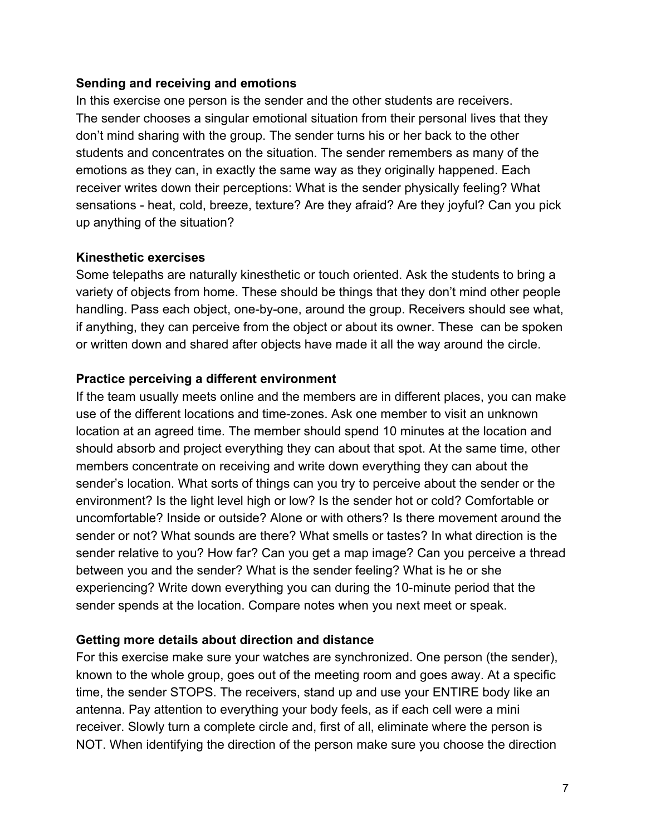#### **Sending and receiving and emotions**

In this exercise one person is the sender and the other students are receivers. The sender chooses a singular emotional situation from their personal lives that they don't mind sharing with the group. The sender turns his or her back to the other students and concentrates on the situation. The sender remembers as many of the emotions as they can, in exactly the same way as they originally happened. Each receiver writes down their perceptions: What is the sender physically feeling? What sensations - heat, cold, breeze, texture? Are they afraid? Are they joyful? Can you pick up anything of the situation?

#### **Kinesthetic exercises**

Some telepaths are naturally kinesthetic or touch oriented. Ask the students to bring a variety of objects from home. These should be things that they don't mind other people handling. Pass each object, one-by-one, around the group. Receivers should see what, if anything, they can perceive from the object or about its owner. These can be spoken or written down and shared after objects have made it all the way around the circle.

### **Practice perceiving a different environment**

If the team usually meets online and the members are in different places, you can make use of the different locations and time-zones. Ask one member to visit an unknown location at an agreed time. The member should spend 10 minutes at the location and should absorb and project everything they can about that spot. At the same time, other members concentrate on receiving and write down everything they can about the sender's location. What sorts of things can you try to perceive about the sender or the environment? Is the light level high or low? Is the sender hot or cold? Comfortable or uncomfortable? Inside or outside? Alone or with others? Is there movement around the sender or not? What sounds are there? What smells or tastes? In what direction is the sender relative to you? How far? Can you get a map image? Can you perceive a thread between you and the sender? What is the sender feeling? What is he or she experiencing? Write down everything you can during the 10-minute period that the sender spends at the location. Compare notes when you next meet or speak.

#### **Getting more details about direction and distance**

For this exercise make sure your watches are synchronized. One person (the sender), known to the whole group, goes out of the meeting room and goes away. At a specific time, the sender STOPS. The receivers, stand up and use your ENTIRE body like an antenna. Pay attention to everything your body feels, as if each cell were a mini receiver. Slowly turn a complete circle and, first of all, eliminate where the person is NOT. When identifying the direction of the person make sure you choose the direction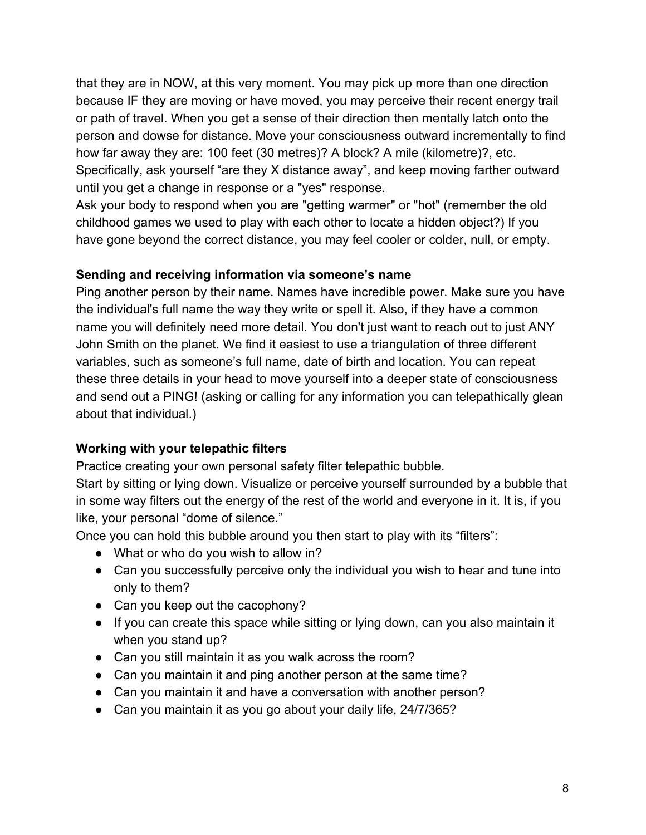that they are in NOW, at this very moment. You may pick up more than one direction because IF they are moving or have moved, you may perceive their recent energy trail or path of travel. When you get a sense of their direction then mentally latch onto the person and dowse for distance. Move your consciousness outward incrementally to find how far away they are: 100 feet (30 metres)? A block? A mile (kilometre)?, etc. Specifically, ask yourself "are they X distance away", and keep moving farther outward until you get a change in response or a "yes" response.

Ask your body to respond when you are "getting warmer" or "hot" (remember the old childhood games we used to play with each other to locate a hidden object?) If you have gone beyond the correct distance, you may feel cooler or colder, null, or empty.

#### **Sending and receiving information via someone's name**

Ping another person by their name. Names have incredible power. Make sure you have the individual's full name the way they write or spell it. Also, if they have a common name you will definitely need more detail. You don't just want to reach out to just ANY John Smith on the planet. We find it easiest to use a triangulation of three different variables, such as someone's full name, date of birth and location. You can repeat these three details in your head to move yourself into a deeper state of consciousness and send out a PING! (asking or calling for any information you can telepathically glean about that individual.)

#### **Working with your telepathic filters**

Practice creating your own personal safety filter telepathic bubble.

Start by sitting or lying down. Visualize or perceive yourself surrounded by a bubble that in some way filters out the energy of the rest of the world and everyone in it. It is, if you like, your personal "dome of silence."

Once you can hold this bubble around you then start to play with its "filters":

- What or who do you wish to allow in?
- Can you successfully perceive only the individual you wish to hear and tune into only to them?
- Can you keep out the cacophony?
- If you can create this space while sitting or lying down, can you also maintain it when you stand up?
- Can you still maintain it as you walk across the room?
- Can you maintain it and ping another person at the same time?
- Can you maintain it and have a conversation with another person?
- Can you maintain it as you go about your daily life, 24/7/365?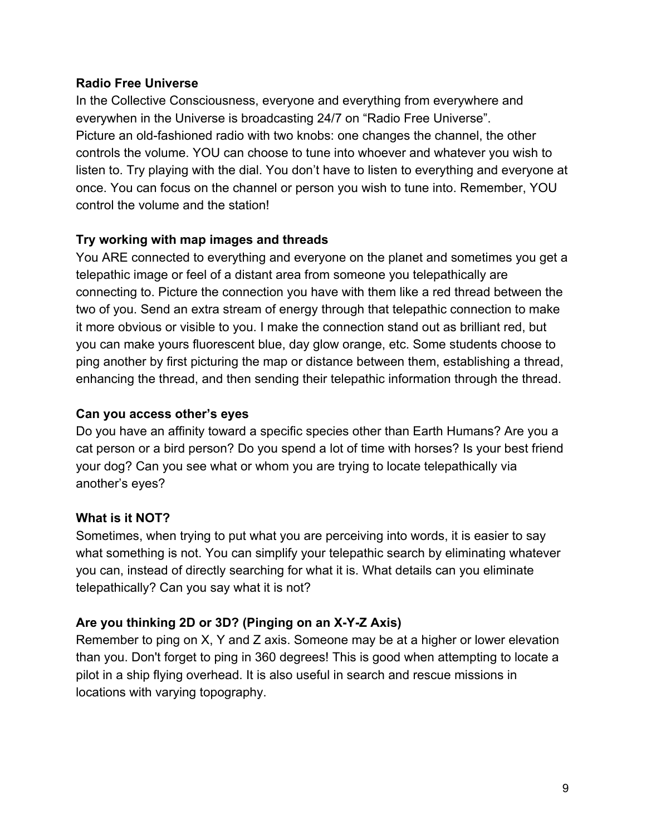#### **Radio Free Universe**

In the Collective Consciousness, everyone and everything from everywhere and everywhen in the Universe is broadcasting 24/7 on "Radio Free Universe". Picture an old-fashioned radio with two knobs: one changes the channel, the other controls the volume. YOU can choose to tune into whoever and whatever you wish to listen to. Try playing with the dial. You don't have to listen to everything and everyone at once. You can focus on the channel or person you wish to tune into. Remember, YOU control the volume and the station!

#### **Try working with map images and threads**

You ARE connected to everything and everyone on the planet and sometimes you get a telepathic image or feel of a distant area from someone you telepathically are connecting to. Picture the connection you have with them like a red thread between the two of you. Send an extra stream of energy through that telepathic connection to make it more obvious or visible to you. I make the connection stand out as brilliant red, but you can make yours fluorescent blue, day glow orange, etc. Some students choose to ping another by first picturing the map or distance between them, establishing a thread, enhancing the thread, and then sending their telepathic information through the thread.

#### **Can you access other's eyes**

Do you have an affinity toward a specific species other than Earth Humans? Are you a cat person or a bird person? Do you spend a lot of time with horses? Is your best friend your dog? Can you see what or whom you are trying to locate telepathically via another's eyes?

#### **What is it NOT?**

Sometimes, when trying to put what you are perceiving into words, it is easier to say what something is not. You can simplify your telepathic search by eliminating whatever you can, instead of directly searching for what it is. What details can you eliminate telepathically? Can you say what it is not?

# **Are you thinking 2D or 3D? (Pinging on an X-Y-Z Axis)**

Remember to ping on X, Y and Z axis. Someone may be at a higher or lower elevation than you. Don't forget to ping in 360 degrees! This is good when attempting to locate a pilot in a ship flying overhead. It is also useful in search and rescue missions in locations with varying topography.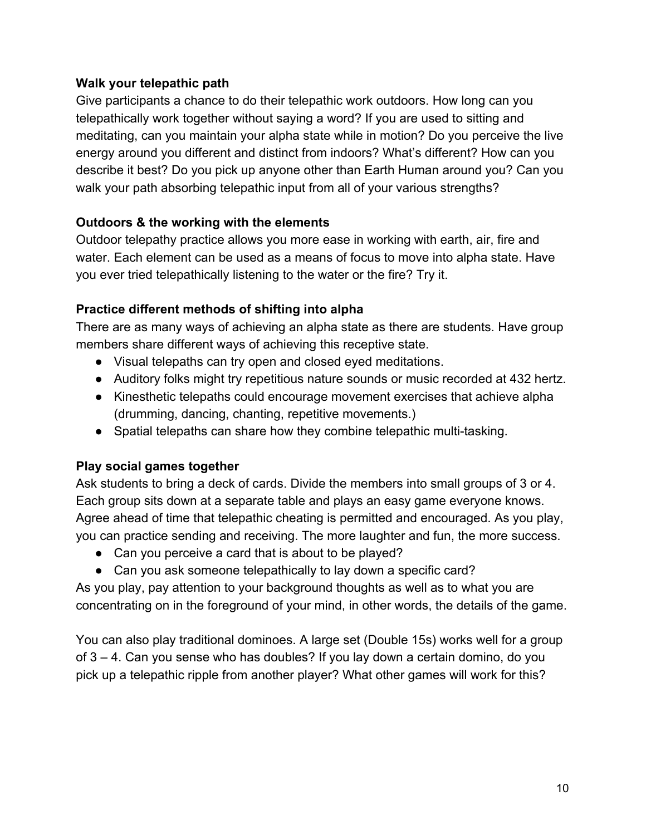#### **Walk your telepathic path**

Give participants a chance to do their telepathic work outdoors. How long can you telepathically work together without saying a word? If you are used to sitting and meditating, can you maintain your alpha state while in motion? Do you perceive the live energy around you different and distinct from indoors? What's different? How can you describe it best? Do you pick up anyone other than Earth Human around you? Can you walk your path absorbing telepathic input from all of your various strengths?

# **Outdoors & the working with the elements**

Outdoor telepathy practice allows you more ease in working with earth, air, fire and water. Each element can be used as a means of focus to move into alpha state. Have you ever tried telepathically listening to the water or the fire? Try it.

# **Practice different methods of shifting into alpha**

There are as many ways of achieving an alpha state as there are students. Have group members share different ways of achieving this receptive state.

- Visual telepaths can try open and closed eyed meditations.
- Auditory folks might try repetitious nature sounds or music recorded at 432 hertz.
- Kinesthetic telepaths could encourage movement exercises that achieve alpha (drumming, dancing, chanting, repetitive movements.)
- Spatial telepaths can share how they combine telepathic multi-tasking.

# **Play social games together**

Ask students to bring a deck of cards. Divide the members into small groups of 3 or 4. Each group sits down at a separate table and plays an easy game everyone knows. Agree ahead of time that telepathic cheating is permitted and encouraged. As you play, you can practice sending and receiving. The more laughter and fun, the more success.

- Can you perceive a card that is about to be played?
- Can you ask someone telepathically to lay down a specific card?

As you play, pay attention to your background thoughts as well as to what you are concentrating on in the foreground of your mind, in other words, the details of the game.

You can also play traditional dominoes. A large set (Double 15s) works well for a group of 3 – 4. Can you sense who has doubles? If you lay down a certain domino, do you pick up a telepathic ripple from another player? What other games will work for this?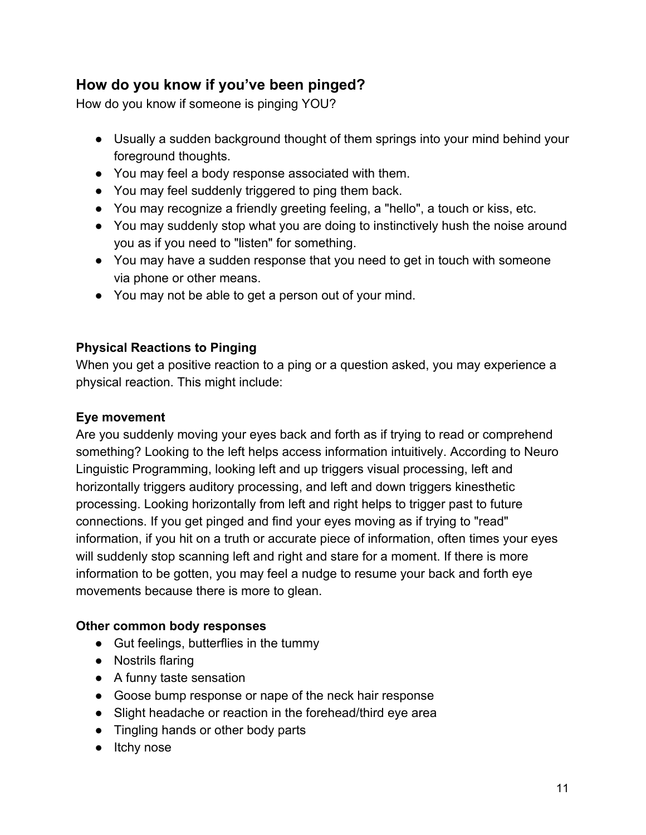# **How do you know if you've been pinged?**

How do you know if someone is pinging YOU?

- Usually a sudden background thought of them springs into your mind behind your foreground thoughts.
- You may feel a body response associated with them.
- You may feel suddenly triggered to ping them back.
- You may recognize a friendly greeting feeling, a "hello", a touch or kiss, etc.
- You may suddenly stop what you are doing to instinctively hush the noise around you as if you need to "listen" for something.
- You may have a sudden response that you need to get in touch with someone via phone or other means.
- You may not be able to get a person out of your mind.

# **Physical Reactions to Pinging**

When you get a positive reaction to a ping or a question asked, you may experience a physical reaction. This might include:

# **Eye movement**

Are you suddenly moving your eyes back and forth as if trying to read or comprehend something? Looking to the left helps access information intuitively. According to Neuro Linguistic Programming, looking left and up triggers visual processing, left and horizontally triggers auditory processing, and left and down triggers kinesthetic processing. Looking horizontally from left and right helps to trigger past to future connections. If you get pinged and find your eyes moving as if trying to "read" information, if you hit on a truth or accurate piece of information, often times your eyes will suddenly stop scanning left and right and stare for a moment. If there is more information to be gotten, you may feel a nudge to resume your back and forth eye movements because there is more to glean.

# **Other common body responses**

- Gut feelings, butterflies in the tummy
- Nostrils flaring
- A funny taste sensation
- Goose bump response or nape of the neck hair response
- Slight headache or reaction in the forehead/third eye area
- Tingling hands or other body parts
- Itchy nose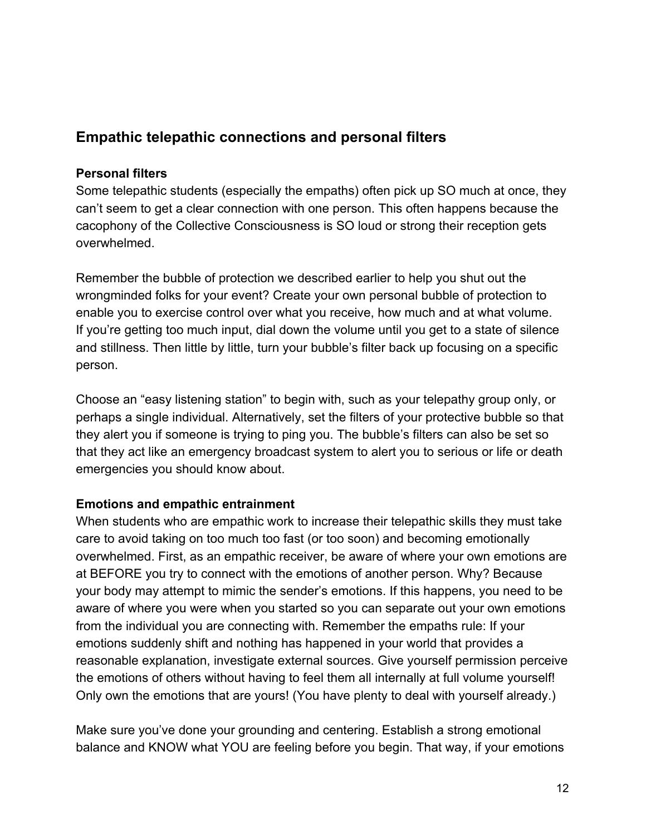# **Empathic telepathic connections and personal filters**

#### **Personal filters**

Some telepathic students (especially the empaths) often pick up SO much at once, they can't seem to get a clear connection with one person. This often happens because the cacophony of the Collective Consciousness is SO loud or strong their reception gets overwhelmed.

Remember the bubble of protection we described earlier to help you shut out the wrongminded folks for your event? Create your own personal bubble of protection to enable you to exercise control over what you receive, how much and at what volume. If you're getting too much input, dial down the volume until you get to a state of silence and stillness. Then little by little, turn your bubble's filter back up focusing on a specific person.

Choose an "easy listening station" to begin with, such as your telepathy group only, or perhaps a single individual. Alternatively, set the filters of your protective bubble so that they alert you if someone is trying to ping you. The bubble's filters can also be set so that they act like an emergency broadcast system to alert you to serious or life or death emergencies you should know about.

#### **Emotions and empathic entrainment**

When students who are empathic work to increase their telepathic skills they must take care to avoid taking on too much too fast (or too soon) and becoming emotionally overwhelmed. First, as an empathic receiver, be aware of where your own emotions are at BEFORE you try to connect with the emotions of another person. Why? Because your body may attempt to mimic the sender's emotions. If this happens, you need to be aware of where you were when you started so you can separate out your own emotions from the individual you are connecting with. Remember the empaths rule: If your emotions suddenly shift and nothing has happened in your world that provides a reasonable explanation, investigate external sources. Give yourself permission perceive the emotions of others without having to feel them all internally at full volume yourself! Only own the emotions that are yours! (You have plenty to deal with yourself already.)

Make sure you've done your grounding and centering. Establish a strong emotional balance and KNOW what YOU are feeling before you begin. That way, if your emotions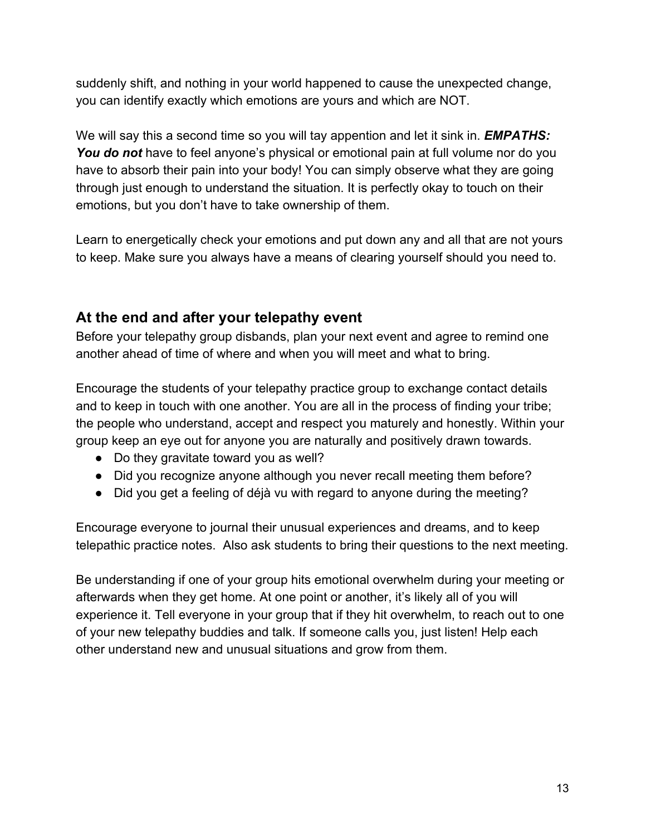suddenly shift, and nothing in your world happened to cause the unexpected change, you can identify exactly which emotions are yours and which are NOT.

We will say this a second time so you will tay appention and let it sink in. *EMPATHS:* You do not have to feel anyone's physical or emotional pain at full volume nor do you have to absorb their pain into your body! You can simply observe what they are going through just enough to understand the situation. It is perfectly okay to touch on their emotions, but you don't have to take ownership of them.

Learn to energetically check your emotions and put down any and all that are not yours to keep. Make sure you always have a means of clearing yourself should you need to.

# **At the end and after your telepathy event**

Before your telepathy group disbands, plan your next event and agree to remind one another ahead of time of where and when you will meet and what to bring.

Encourage the students of your telepathy practice group to exchange contact details and to keep in touch with one another. You are all in the process of finding your tribe; the people who understand, accept and respect you maturely and honestly. Within your group keep an eye out for anyone you are naturally and positively drawn towards.

- Do they gravitate toward you as well?
- Did you recognize anyone although you never recall meeting them before?
- Did you get a feeling of déjà vu with regard to anyone during the meeting?

Encourage everyone to journal their unusual experiences and dreams, and to keep telepathic practice notes. Also ask students to bring their questions to the next meeting.

Be understanding if one of your group hits emotional overwhelm during your meeting or afterwards when they get home. At one point or another, it's likely all of you will experience it. Tell everyone in your group that if they hit overwhelm, to reach out to one of your new telepathy buddies and talk. If someone calls you, just listen! Help each other understand new and unusual situations and grow from them.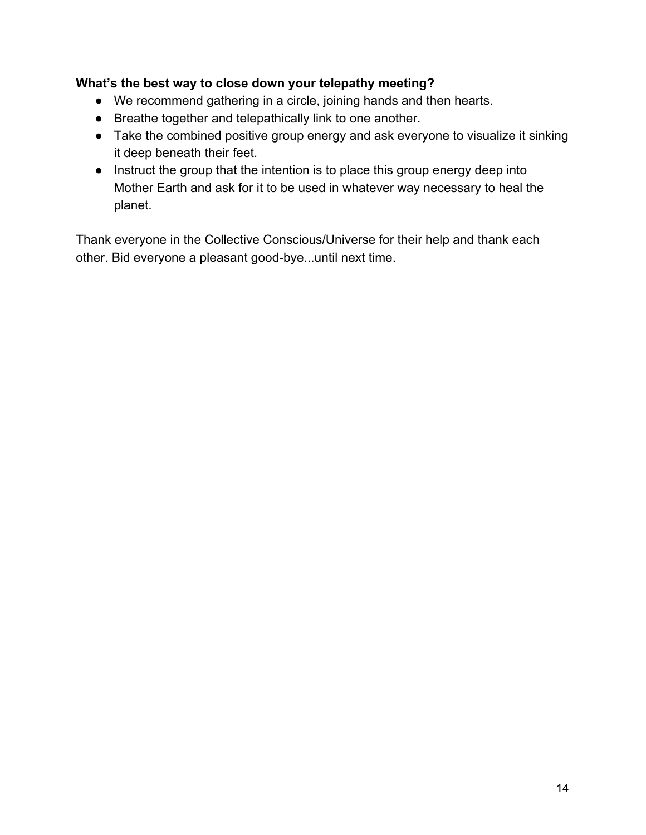### **What's the best way to close down your telepathy meeting?**

- We recommend gathering in a circle, joining hands and then hearts.
- Breathe together and telepathically link to one another.
- Take the combined positive group energy and ask everyone to visualize it sinking it deep beneath their feet.
- Instruct the group that the intention is to place this group energy deep into Mother Earth and ask for it to be used in whatever way necessary to heal the planet.

Thank everyone in the Collective Conscious/Universe for their help and thank each other. Bid everyone a pleasant good-bye...until next time.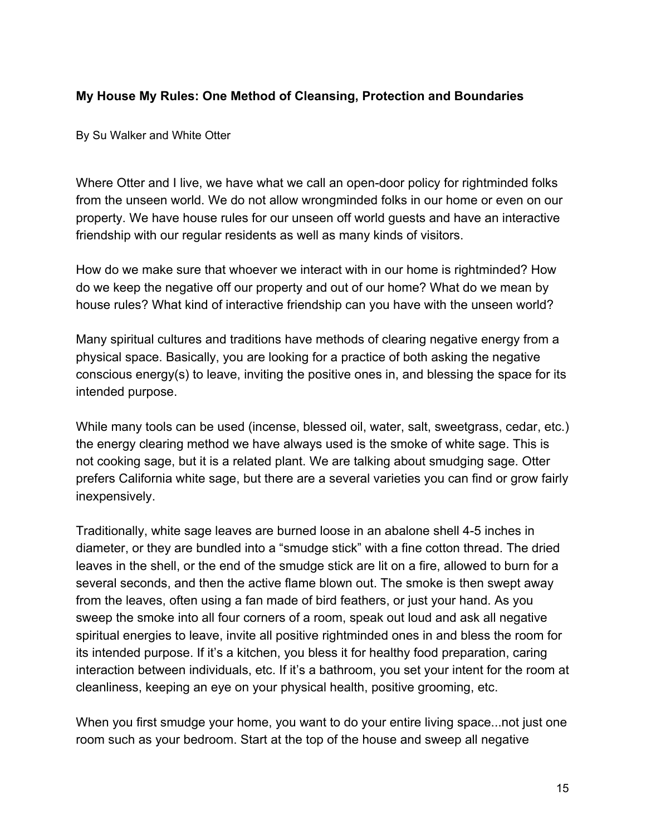#### **My House My Rules: One Method of Cleansing, Protection and Boundaries**

By Su Walker and White Otter

Where Otter and I live, we have what we call an open-door policy for rightminded folks from the unseen world. We do not allow wrongminded folks in our home or even on our property. We have house rules for our unseen off world guests and have an interactive friendship with our regular residents as well as many kinds of visitors.

How do we make sure that whoever we interact with in our home is rightminded? How do we keep the negative off our property and out of our home? What do we mean by house rules? What kind of interactive friendship can you have with the unseen world?

Many spiritual cultures and traditions have methods of clearing negative energy from a physical space. Basically, you are looking for a practice of both asking the negative conscious energy(s) to leave, inviting the positive ones in, and blessing the space for its intended purpose.

While many tools can be used (incense, blessed oil, water, salt, sweetgrass, cedar, etc.) the energy clearing method we have always used is the smoke of white sage. This is not cooking sage, but it is a related plant. We are talking about smudging sage. Otter prefers California white sage, but there are a several varieties you can find or grow fairly inexpensively.

Traditionally, white sage leaves are burned loose in an abalone shell 4-5 inches in diameter, or they are bundled into a "smudge stick" with a fine cotton thread. The dried leaves in the shell, or the end of the smudge stick are lit on a fire, allowed to burn for a several seconds, and then the active flame blown out. The smoke is then swept away from the leaves, often using a fan made of bird feathers, or just your hand. As you sweep the smoke into all four corners of a room, speak out loud and ask all negative spiritual energies to leave, invite all positive rightminded ones in and bless the room for its intended purpose. If it's a kitchen, you bless it for healthy food preparation, caring interaction between individuals, etc. If it's a bathroom, you set your intent for the room at cleanliness, keeping an eye on your physical health, positive grooming, etc.

When you first smudge your home, you want to do your entire living space...not just one room such as your bedroom. Start at the top of the house and sweep all negative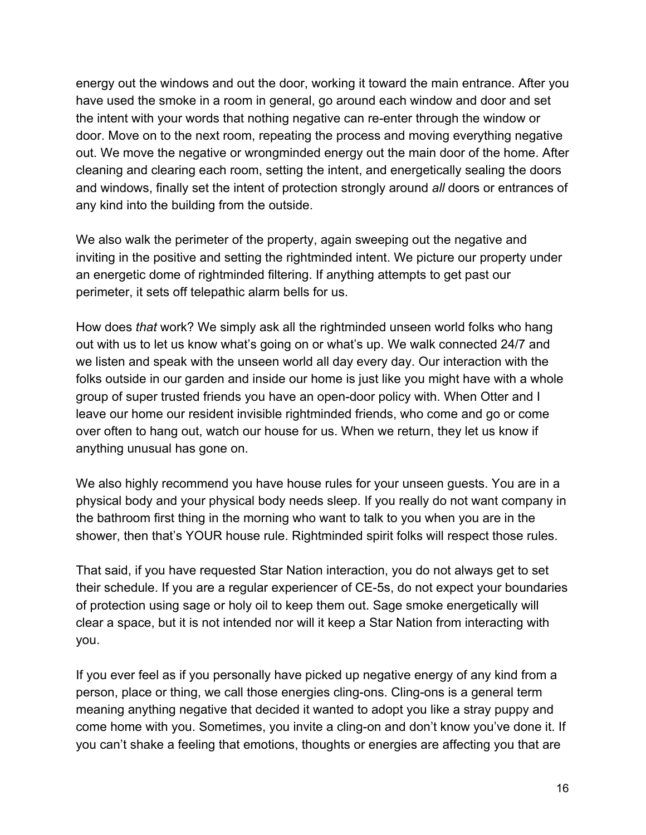energy out the windows and out the door, working it toward the main entrance. After you have used the smoke in a room in general, go around each window and door and set the intent with your words that nothing negative can re-enter through the window or door. Move on to the next room, repeating the process and moving everything negative out. We move the negative or wrongminded energy out the main door of the home. After cleaning and clearing each room, setting the intent, and energetically sealing the doors and windows, finally set the intent of protection strongly around *all* doors or entrances of any kind into the building from the outside.

We also walk the perimeter of the property, again sweeping out the negative and inviting in the positive and setting the rightminded intent. We picture our property under an energetic dome of rightminded filtering. If anything attempts to get past our perimeter, it sets off telepathic alarm bells for us.

How does *that* work? We simply ask all the rightminded unseen world folks who hang out with us to let us know what's going on or what's up. We walk connected 24/7 and we listen and speak with the unseen world all day every day. Our interaction with the folks outside in our garden and inside our home is just like you might have with a whole group of super trusted friends you have an open-door policy with. When Otter and I leave our home our resident invisible rightminded friends, who come and go or come over often to hang out, watch our house for us. When we return, they let us know if anything unusual has gone on.

We also highly recommend you have house rules for your unseen guests. You are in a physical body and your physical body needs sleep. If you really do not want company in the bathroom first thing in the morning who want to talk to you when you are in the shower, then that's YOUR house rule. Rightminded spirit folks will respect those rules.

That said, if you have requested Star Nation interaction, you do not always get to set their schedule. If you are a regular experiencer of CE-5s, do not expect your boundaries of protection using sage or holy oil to keep them out. Sage smoke energetically will clear a space, but it is not intended nor will it keep a Star Nation from interacting with you.

If you ever feel as if you personally have picked up negative energy of any kind from a person, place or thing, we call those energies cling-ons. Cling-ons is a general term meaning anything negative that decided it wanted to adopt you like a stray puppy and come home with you. Sometimes, you invite a cling-on and don't know you've done it. If you can't shake a feeling that emotions, thoughts or energies are affecting you that are